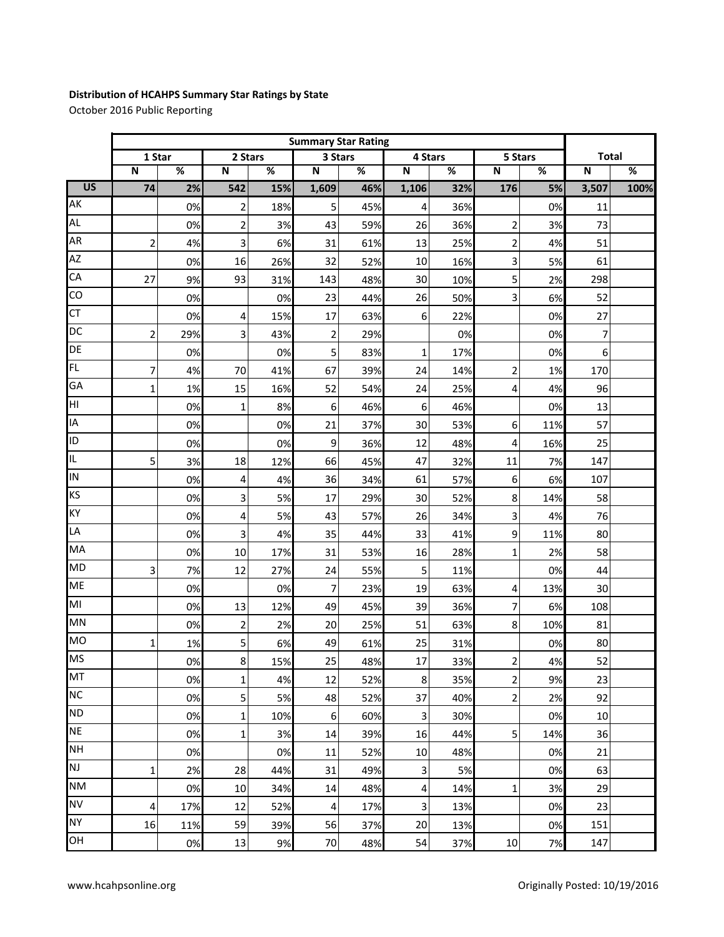## **Distribution of HCAHPS Summary Star Ratings by State**

October 2016 Public Reporting

|                 | <b>Summary Star Rating</b> |                          |             |      |                |      |                           |      |                         |      |              |      |
|-----------------|----------------------------|--------------------------|-------------|------|----------------|------|---------------------------|------|-------------------------|------|--------------|------|
|                 | 1 Star                     |                          | 2 Stars     |      | 3 Stars        |      | 4 Stars                   |      | 5 Stars                 |      | <b>Total</b> |      |
|                 | $\mathbf N$                | $\overline{\mathscr{C}}$ | $\mathbf N$ | $\%$ | ${\bf N}$      | $\%$ | $\boldsymbol{\mathsf{N}}$ | $\%$ | ${\bf N}$               | $\%$ | $\mathbf N$  | $\%$ |
| $\overline{US}$ | 74                         | 2%                       | 542         | 15%  | 1,609          | 46%  | 1,106                     | 32%  | 176                     | 5%   | 3,507        | 100% |
| AK              |                            | 0%                       | 2           | 18%  | 5              | 45%  | 4                         | 36%  |                         | 0%   | 11           |      |
| <b>AL</b>       |                            | 0%                       | 2           | 3%   | 43             | 59%  | 26                        | 36%  | 2                       | 3%   | 73           |      |
| AR              | 2                          | 4%                       | 3           | 6%   | 31             | 61%  | 13                        | 25%  | 2                       | 4%   | 51           |      |
| AZ              |                            | 0%                       | 16          | 26%  | 32             | 52%  | 10                        | 16%  | 3                       | 5%   | 61           |      |
| CA              | 27                         | 9%                       | 93          | 31%  | 143            | 48%  | 30                        | 10%  | 5                       | 2%   | 298          |      |
| CO              |                            | 0%                       |             | 0%   | 23             | 44%  | 26                        | 50%  | 3                       | 6%   | 52           |      |
| <b>CT</b>       |                            | 0%                       | 4           | 15%  | 17             | 63%  | 6                         | 22%  |                         | 0%   | 27           |      |
| DC              | $\overline{2}$             | 29%                      | 3           | 43%  | $\overline{2}$ | 29%  |                           | 0%   |                         | 0%   | 7            |      |
| DE              |                            | 0%                       |             | 0%   | 5              | 83%  | $\mathbf{1}$              | 17%  |                         | 0%   | 6            |      |
| <b>FL</b>       | 7                          | 4%                       | 70          | 41%  | 67             | 39%  | 24                        | 14%  | 2                       | 1%   | 170          |      |
| GA              | 1                          | 1%                       | 15          | 16%  | 52             | 54%  | 24                        | 25%  | 4                       | 4%   | 96           |      |
| HI              |                            | 0%                       | 1           | 8%   | 6              | 46%  | 6                         | 46%  |                         | 0%   | 13           |      |
| IA              |                            | 0%                       |             | 0%   | 21             | 37%  | 30                        | 53%  | 6                       | 11%  | 57           |      |
| ID              |                            | 0%                       |             | 0%   | 9              | 36%  | 12                        | 48%  | 4                       | 16%  | 25           |      |
| IL.             | 5                          | 3%                       | 18          | 12%  | 66             | 45%  | 47                        | 32%  | 11                      | 7%   | 147          |      |
| IN              |                            | 0%                       | 4           | 4%   | 36             | 34%  | 61                        | 57%  | 6                       | 6%   | 107          |      |
| KS              |                            | 0%                       | 3           | 5%   | 17             | 29%  | 30                        | 52%  | 8                       | 14%  | 58           |      |
| KY              |                            | 0%                       | 4           | 5%   | 43             | 57%  | 26                        | 34%  | 3                       | 4%   | 76           |      |
| LA              |                            | 0%                       | 3           | 4%   | 35             | 44%  | 33                        | 41%  | 9                       | 11%  | 80           |      |
| MA              |                            | 0%                       | 10          | 17%  | 31             | 53%  | 16                        | 28%  | $\mathbf 1$             | 2%   | 58           |      |
| <b>MD</b>       | 3                          | 7%                       | 12          | 27%  | 24             | 55%  | 5                         | 11%  |                         | 0%   | 44           |      |
| <b>ME</b>       |                            | 0%                       |             | 0%   | $\overline{7}$ | 23%  | 19                        | 63%  | 4                       | 13%  | 30           |      |
| MI              |                            | 0%                       | 13          | 12%  | 49             | 45%  | 39                        | 36%  | 7                       | 6%   | 108          |      |
| MN              |                            | 0%                       | 2           | 2%   | 20             | 25%  | 51                        | 63%  | 8                       | 10%  | 81           |      |
| <b>MO</b>       | 1                          | 1%                       | 5           | 6%   | 49             | 61%  | 25                        | 31%  |                         | 0%   | 80           |      |
| <b>MS</b>       |                            | 0%                       | 8           | 15%  | 25             | 48%  | 17                        | 33%  | $\overline{\mathbf{c}}$ | 4%   | 52           |      |
| MT              |                            | 0%                       | 1           | 4%   | 12             | 52%  | $\bf 8$                   | 35%  | $\overline{c}$          | 9%   | 23           |      |
| <b>NC</b>       |                            | 0%                       | 5           | 5%   | 48             | 52%  | 37                        | 40%  | $\overline{c}$          | 2%   | 92           |      |
| <b>ND</b>       |                            | 0%                       | 1           | 10%  | 6              | 60%  | $\overline{\mathbf{3}}$   | 30%  |                         | 0%   | 10           |      |
| <b>NE</b>       |                            | 0%                       | 1           | 3%   | 14             | 39%  | 16                        | 44%  | 5                       | 14%  | 36           |      |
| <b>NH</b>       |                            | 0%                       |             | 0%   | 11             | 52%  | 10                        | 48%  |                         | 0%   | 21           |      |
| <b>NJ</b>       | 1                          | 2%                       | 28          | 44%  | 31             | 49%  | 3                         | 5%   |                         | 0%   | 63           |      |
| <b>NM</b>       |                            | 0%                       | 10          | 34%  | 14             | 48%  | 4                         | 14%  | 1                       | 3%   | 29           |      |
| <b>NV</b>       | 4                          | 17%                      | 12          | 52%  | 4              | 17%  | $\overline{\mathbf{3}}$   | 13%  |                         | 0%   | 23           |      |
| <b>NY</b>       | 16                         | 11%                      | 59          | 39%  | 56             | 37%  | 20                        | 13%  |                         | 0%   | 151          |      |
| OH              |                            | 0%                       | 13          | 9%   | 70             | 48%  | 54                        | 37%  | 10                      | 7%   | 147          |      |